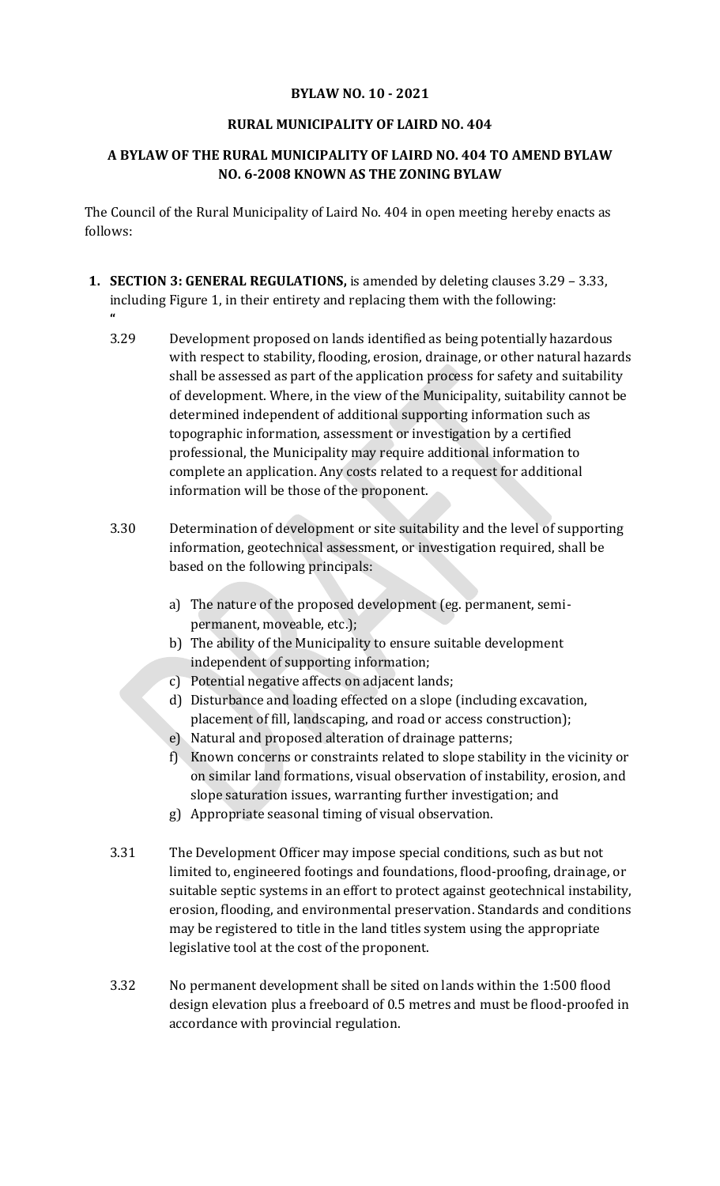## **BYLAW NO. 10 - 2021**

## **RURAL MUNICIPALITY OF LAIRD NO. 404**

## **A BYLAW OF THE RURAL MUNICIPALITY OF LAIRD NO. 404 TO AMEND BYLAW NO. 6-2008 KNOWN AS THE ZONING BYLAW**

The Council of the Rural Municipality of Laird No. 404 in open meeting hereby enacts as follows:

**1. SECTION 3: GENERAL REGULATIONS,** is amended by deleting clauses 3.29 – 3.33, including Figure 1, in their entirety and replacing them with the following:

**"**

- 3.29 Development proposed on lands identified as being potentially hazardous with respect to stability, flooding, erosion, drainage, or other natural hazards shall be assessed as part of the application process for safety and suitability of development. Where, in the view of the Municipality, suitability cannot be determined independent of additional supporting information such as topographic information, assessment or investigation by a certified professional, the Municipality may require additional information to complete an application. Any costs related to a request for additional information will be those of the proponent.
- 3.30 Determination of development or site suitability and the level of supporting information, geotechnical assessment, or investigation required, shall be based on the following principals:
	- a) The nature of the proposed development (eg. permanent, semipermanent, moveable, etc.);
	- b) The ability of the Municipality to ensure suitable development independent of supporting information;
	- c) Potential negative affects on adjacent lands;
	- d) Disturbance and loading effected on a slope (including excavation, placement of fill, landscaping, and road or access construction);
	- e) Natural and proposed alteration of drainage patterns;
	- f) Known concerns or constraints related to slope stability in the vicinity or on similar land formations, visual observation of instability, erosion, and slope saturation issues, warranting further investigation; and
	- g) Appropriate seasonal timing of visual observation.
- 3.31 The Development Officer may impose special conditions, such as but not limited to, engineered footings and foundations, flood-proofing, drainage, or suitable septic systems in an effort to protect against geotechnical instability, erosion, flooding, and environmental preservation. Standards and conditions may be registered to title in the land titles system using the appropriate legislative tool at the cost of the proponent.
- 3.32 No permanent development shall be sited on lands within the 1:500 flood design elevation plus a freeboard of 0.5 metres and must be flood-proofed in accordance with provincial regulation.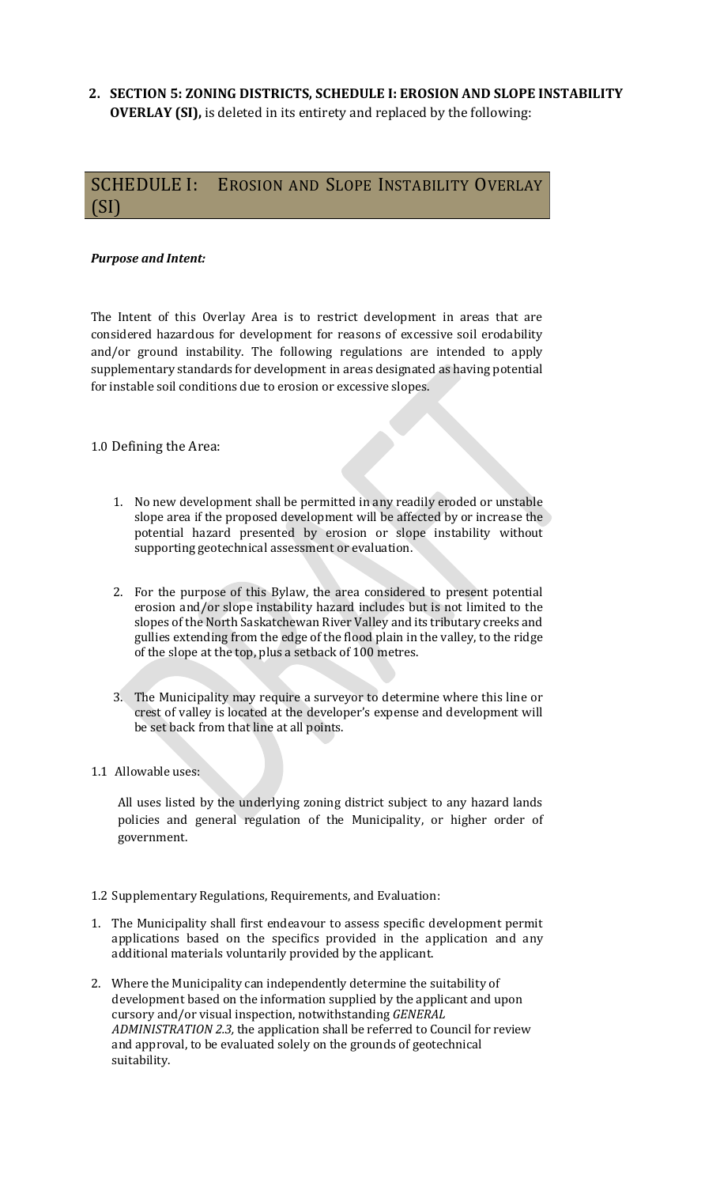**2. SECTION 5: ZONING DISTRICTS, SCHEDULE I: EROSION AND SLOPE INSTABILITY OVERLAY (SI),** is deleted in its entirety and replaced by the following:

# SCHEDULE I: EROSION AND SLOPE INSTABILITY OVERLAY (SI)

### *Purpose and Intent:*

The Intent of this Overlay Area is to restrict development in areas that are considered hazardous for development for reasons of excessive soil erodability and/or ground instability. The following regulations are intended to apply supplementary standards for development in areas designated as having potential for instable soil conditions due to erosion or excessive slopes.

#### 1.0 Defining the Area:

- 1. No new development shall be permitted in any readily eroded or unstable slope area if the proposed development will be affected by or increase the potential hazard presented by erosion or slope instability without supporting geotechnical assessment or evaluation.
- 2. For the purpose of this Bylaw, the area considered to present potential erosion and/or slope instability hazard includes but is not limited to the slopes of the North Saskatchewan River Valley and its tributary creeks and gullies extending from the edge of the flood plain in the valley, to the ridge of the slope at the top, plus a setback of 100 metres.
- 3. The Municipality may require a surveyor to determine where this line or crest of valley is located at the developer's expense and development will be set back from that line at all points.
- 1.1 Allowable uses:

All uses listed by the underlying zoning district subject to any hazard lands policies and general regulation of the Municipality, or higher order of government.

- 1.2 Supplementary Regulations, Requirements, and Evaluation:
- 1. The Municipality shall first endeavour to assess specific development permit applications based on the specifics provided in the application and any additional materials voluntarily provided by the applicant.
- 2. Where the Municipality can independently determine the suitability of development based on the information supplied by the applicant and upon cursory and/or visual inspection, notwithstanding *GENERAL ADMINISTRATION 2.3,* the application shall be referred to Council for review and approval, to be evaluated solely on the grounds of geotechnical suitability.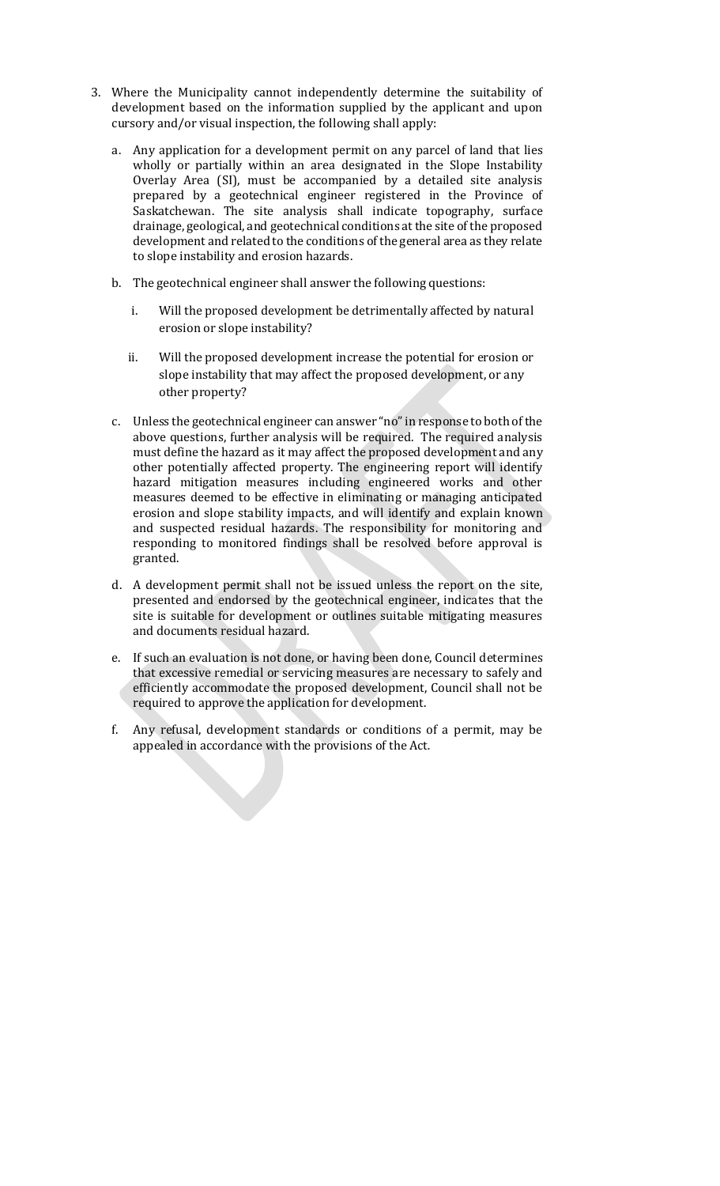- 3. Where the Municipality cannot independently determine the suitability of development based on the information supplied by the applicant and upon cursory and/or visual inspection, the following shall apply:
	- a. Any application for a development permit on any parcel of land that lies wholly or partially within an area designated in the Slope Instability Overlay Area (SI), must be accompanied by a detailed site analysis prepared by a geotechnical engineer registered in the Province of Saskatchewan. The site analysis shall indicate topography, surface drainage, geological, and geotechnical conditions at the site of the proposed development and related to the conditions of the general area as they relate to slope instability and erosion hazards.
	- b. The geotechnical engineer shall answer the following questions:
		- i. Will the proposed development be detrimentally affected by natural erosion or slope instability?
		- ii. Will the proposed development increase the potential for erosion or slope instability that may affect the proposed development, or any other property?
	- c. Unless the geotechnical engineer can answer "no" in response to both of the above questions, further analysis will be required. The required analysis must define the hazard as it may affect the proposed development and any other potentially affected property. The engineering report will identify hazard mitigation measures including engineered works and other measures deemed to be effective in eliminating or managing anticipated erosion and slope stability impacts, and will identify and explain known and suspected residual hazards. The responsibility for monitoring and responding to monitored findings shall be resolved before approval is granted.
	- d. A development permit shall not be issued unless the report on the site, presented and endorsed by the geotechnical engineer, indicates that the site is suitable for development or outlines suitable mitigating measures and documents residual hazard.
	- e. If such an evaluation is not done, or having been done, Council determines that excessive remedial or servicing measures are necessary to safely and efficiently accommodate the proposed development, Council shall not be required to approve the application for development.
	- f. Any refusal, development standards or conditions of a permit, may be appealed in accordance with the provisions of the Act*.*